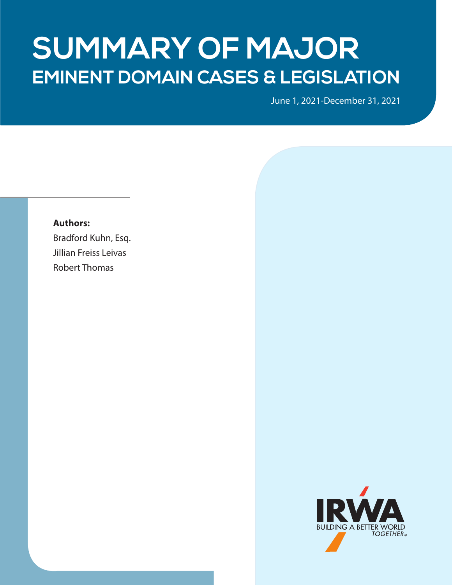# **EMINENT DOMAIN CASES & LEGISLATION SUMMARY OF MAJOR**

June 1, 2021-December 31, 2021

### **Authors:**

Bradford Kuhn, Esq. Jillian Freiss Leivas Robert Thomas

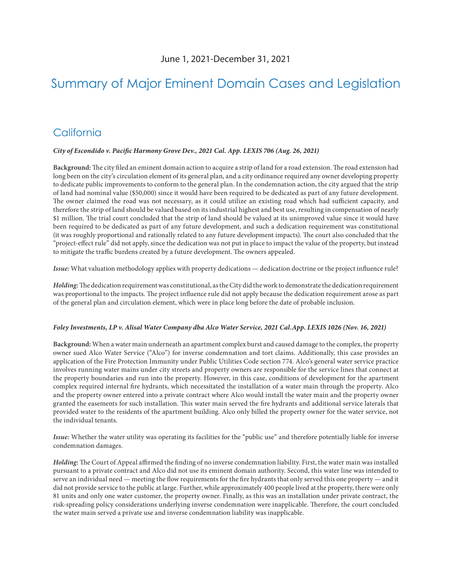# Summary of Major Eminent Domain Cases and Legislation

### **California**

#### *City of Escondido v. Pacific Harmony Grove Dev., 2021 Cal. App. LEXIS 706 (Aug. 26, 2021)*

**Background:** The city filed an eminent domain action to acquire a strip of land for a road extension. The road extension had long been on the city's circulation element of its general plan, and a city ordinance required any owner developing property to dedicate public improvements to conform to the general plan. In the condemnation action, the city argued that the strip of land had nominal value (\$50,000) since it would have been required to be dedicated as part of any future development. The owner claimed the road was not necessary, as it could utilize an existing road which had sufficient capacity, and therefore the strip of land should be valued based on its industrial highest and best use, resulting in compensation of nearly \$1 million. The trial court concluded that the strip of land should be valued at its unimproved value since it would have been required to be dedicated as part of any future development, and such a dedication requirement was constitutional (it was roughly proportional and rationally related to any future development impacts). The court also concluded that the "project-effect rule" did not apply, since the dedication was not put in place to impact the value of the property, but instead to mitigate the traffic burdens created by a future development. The owners appealed.

*Issue:* What valuation methodology applies with property dedications — dedication doctrine or the project influence rule?

*Holding:* The dedication requirement was constitutional, as the City did the work to demonstrate the dedication requirement was proportional to the impacts. The project influence rule did not apply because the dedication requirement arose as part of the general plan and circulation element, which were in place long before the date of probable inclusion.

#### *Foley Investments, LP v. Alisal Water Company dba Alco Water Service, 2021 Cal.App. LEXIS 1026 (Nov. 16, 2021)*

**Background:** When a water main underneath an apartment complex burst and caused damage to the complex, the property owner sued Alco Water Service ("Alco") for inverse condemnation and tort claims. Additionally, this case provides an application of the Fire Protection Immunity under Public Utilities Code section 774. Alco's general water service practice involves running water mains under city streets and property owners are responsible for the service lines that connect at the property boundaries and run into the property. However, in this case, conditions of development for the apartment complex required internal fire hydrants, which necessitated the installation of a water main through the property. Alco and the property owner entered into a private contract where Alco would install the water main and the property owner granted the easements for such installation. This water main served the fire hydrants and additional service laterals that provided water to the residents of the apartment building. Alco only billed the property owner for the water service, not the individual tenants.

*Issue:* Whether the water utility was operating its facilities for the "public use" and therefore potentially liable for inverse condemnation damages.

*Holding:* The Court of Appeal affirmed the finding of no inverse condemnation liability. First, the water main was installed pursuant to a private contract and Alco did not use its eminent domain authority. Second, this water line was intended to serve an individual need — meeting the flow requirements for the fire hydrants that only served this one property — and it did not provide service to the public at large. Further, while approximately 400 people lived at the property, there were only 81 units and only one water customer, the property owner. Finally, as this was an installation under private contract, the risk-spreading policy considerations underlying inverse condemnation were inapplicable. Therefore, the court concluded the water main served a private use and inverse condemnation liability was inapplicable.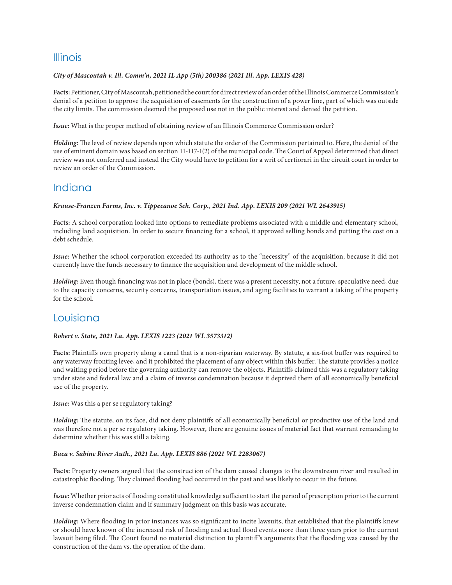### Illinois

### *City of Mascoutah v. Ill. Comm'n, 2021 IL App (5th) 200386 (2021 Ill. App. LEXIS 428)*

**Facts:** Petitioner, City of Mascoutah, petitioned the court for direct review of an order of the Illinois Commerce Commission's denial of a petition to approve the acquisition of easements for the construction of a power line, part of which was outside the city limits. The commission deemed the proposed use not in the public interest and denied the petition.

*Issue:* What is the proper method of obtaining review of an Illinois Commerce Commission order?

*Holding:* The level of review depends upon which statute the order of the Commission pertained to. Here, the denial of the use of eminent domain was based on section 11-117-1(2) of the municipal code. The Court of Appeal determined that direct review was not conferred and instead the City would have to petition for a writ of certiorari in the circuit court in order to review an order of the Commission.

### Indiana

### *Krause-Franzen Farms, Inc. v. Tippecanoe Sch. Corp., 2021 Ind. App. LEXIS 209 (2021 WL 2643915)*

**Facts:** A school corporation looked into options to remediate problems associated with a middle and elementary school, including land acquisition. In order to secure financing for a school, it approved selling bonds and putting the cost on a debt schedule.

*Issue:* Whether the school corporation exceeded its authority as to the "necessity" of the acquisition, because it did not currently have the funds necessary to finance the acquisition and development of the middle school.

*Holding:* Even though financing was not in place (bonds), there was a present necessity, not a future, speculative need, due to the capacity concerns, security concerns, transportation issues, and aging facilities to warrant a taking of the property for the school.

### Louisiana

### *Robert v. State, 2021 La. App. LEXIS 1223 (2021 WL 3573312)*

**Facts:** Plaintiffs own property along a canal that is a non-riparian waterway. By statute, a six-foot buffer was required to any waterway fronting levee, and it prohibited the placement of any object within this buffer. The statute provides a notice and waiting period before the governing authority can remove the objects. Plaintiffs claimed this was a regulatory taking under state and federal law and a claim of inverse condemnation because it deprived them of all economically beneficial use of the property.

*Issue:* Was this a per se regulatory taking?

*Holding:* The statute, on its face, did not deny plaintiffs of all economically beneficial or productive use of the land and was therefore not a per se regulatory taking. However, there are genuine issues of material fact that warrant remanding to determine whether this was still a taking.

### *Baca v. Sabine River Auth., 2021 La. App. LEXIS 886 (2021 WL 2283067)*

**Facts:** Property owners argued that the construction of the dam caused changes to the downstream river and resulted in catastrophic flooding. They claimed flooding had occurred in the past and was likely to occur in the future.

*Issue:* Whether prior acts of flooding constituted knowledge sufficient to start the period of prescription prior to the current inverse condemnation claim and if summary judgment on this basis was accurate.

*Holding:* Where flooding in prior instances was so significant to incite lawsuits, that established that the plaintiffs knew or should have known of the increased risk of flooding and actual flood events more than three years prior to the current lawsuit being filed. The Court found no material distinction to plaintiff's arguments that the flooding was caused by the construction of the dam vs. the operation of the dam.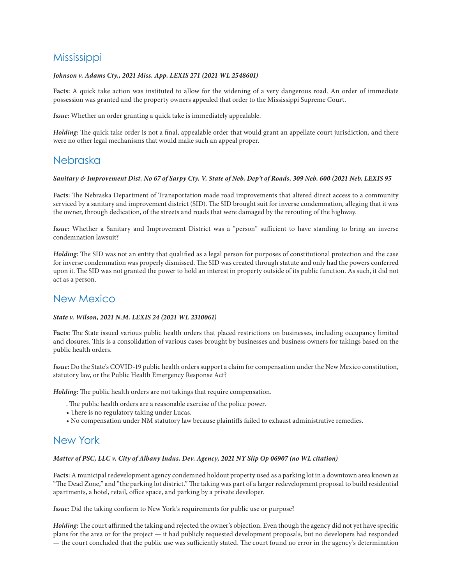# **Mississippi**

#### *Johnson v. Adams Cty., 2021 Miss. App. LEXIS 271 (2021 WL 2548601)*

**Facts:** A quick take action was instituted to allow for the widening of a very dangerous road. An order of immediate possession was granted and the property owners appealed that order to the Mississippi Supreme Court.

*Issue:* Whether an order granting a quick take is immediately appealable.

*Holding:* The quick take order is not a final, appealable order that would grant an appellate court jurisdiction, and there were no other legal mechanisms that would make such an appeal proper.

### Nebraska

### *Sanitary & Improvement Dist. No 67 of Sarpy Cty. V. State of Neb. Dep't of Roads, 309 Neb. 600 (2021 Neb. LEXIS 95*

**Facts:** The Nebraska Department of Transportation made road improvements that altered direct access to a community serviced by a sanitary and improvement district (SID). The SID brought suit for inverse condemnation, alleging that it was the owner, through dedication, of the streets and roads that were damaged by the rerouting of the highway.

*Issue:* Whether a Sanitary and Improvement District was a "person" sufficient to have standing to bring an inverse condemnation lawsuit?

*Holding:* The SID was not an entity that qualified as a legal person for purposes of constitutional protection and the case for inverse condemnation was properly dismissed. The SID was created through statute and only had the powers conferred upon it. The SID was not granted the power to hold an interest in property outside of its public function. As such, it did not act as a person.

### New Mexico

#### *State v. Wilson, 2021 N.M. LEXIS 24 (2021 WL 2310061)*

**Facts:** The State issued various public health orders that placed restrictions on businesses, including occupancy limited and closures. This is a consolidation of various cases brought by businesses and business owners for takings based on the public health orders.

*Issue:* Do the State's COVID-19 public health orders support a claim for compensation under the New Mexico constitution, statutory law, or the Public Health Emergency Response Act?

*Holding:* The public health orders are not takings that require compensation.

- The public health orders are a reasonable exercise of the police power.
- There is no regulatory taking under Lucas.
- No compensation under NM statutory law because plaintiffs failed to exhaust administrative remedies.

### New York

#### *Matter of PSC, LLC v. City of Albany Indus. Dev. Agency, 2021 NY Slip Op 06907 (no WL citation)*

**Facts:** A municipal redevelopment agency condemned holdout property used as a parking lot in a downtown area known as "The Dead Zone," and "the parking lot district." The taking was part of a larger redevelopment proposal to build residential apartments, a hotel, retail, office space, and parking by a private developer.

*Issue:* Did the taking conform to New York's requirements for public use or purpose?

*Holding:* The court affirmed the taking and rejected the owner's objection. Even though the agency did not yet have specific plans for the area or for the project — it had publicly requested development proposals, but no developers had responded — the court concluded that the public use was sufficiently stated. The court found no error in the agency's determination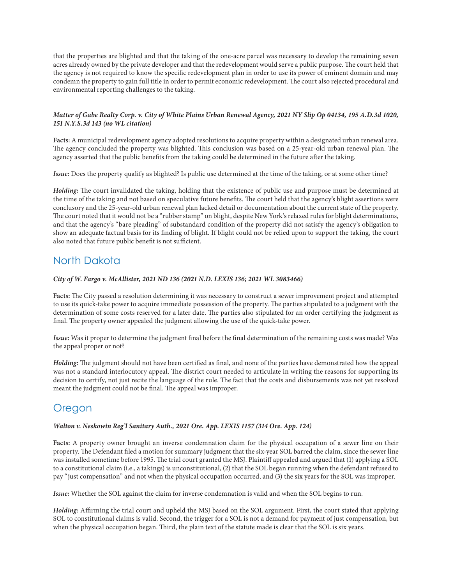that the properties are blighted and that the taking of the one-acre parcel was necessary to develop the remaining seven acres already owned by the private developer and that the redevelopment would serve a public purpose. The court held that the agency is not required to know the specific redevelopment plan in order to use its power of eminent domain and may condemn the property to gain full title in order to permit economic redevelopment. The court also rejected procedural and environmental reporting challenges to the taking.

### *Matter of Gabe Realty Corp. v. City of White Plains Urban Renewal Agency, 2021 NY Slip Op 04134, 195 A.D.3d 1020, 151 N.Y.S.3d 143 (no WL citation)*

**Facts:** A municipal redevelopment agency adopted resolutions to acquire property within a designated urban renewal area. The agency concluded the property was blighted. This conclusion was based on a 25-year-old urban renewal plan. The agency asserted that the public benefits from the taking could be determined in the future after the taking.

*Issue:* Does the property qualify as blighted? Is public use determined at the time of the taking, or at some other time?

*Holding:* The court invalidated the taking, holding that the existence of public use and purpose must be determined at the time of the taking and not based on speculative future benefits. The court held that the agency's blight assertions were conclusory and the 25-year-old urban renewal plan lacked detail or documentation about the current state of the property. The court noted that it would not be a "rubber stamp" on blight, despite New York's relaxed rules for blight determinations, and that the agency's "bare pleading" of substandard condition of the property did not satisfy the agency's obligation to show an adequate factual basis for its finding of blight. If blight could not be relied upon to support the taking, the court also noted that future public benefit is not sufficient.

# North Dakota

### *City of W. Fargo v. McAllister, 2021 ND 136 (2021 N.D. LEXIS 136; 2021 WL 3083466)*

**Facts:** The City passed a resolution determining it was necessary to construct a sewer improvement project and attempted to use its quick-take power to acquire immediate possession of the property. The parties stipulated to a judgment with the determination of some costs reserved for a later date. The parties also stipulated for an order certifying the judgment as final. The property owner appealed the judgment allowing the use of the quick-take power.

*Issue:* Was it proper to determine the judgment final before the final determination of the remaining costs was made? Was the appeal proper or not?

*Holding:* The judgment should not have been certified as final, and none of the parties have demonstrated how the appeal was not a standard interlocutory appeal. The district court needed to articulate in writing the reasons for supporting its decision to certify, not just recite the language of the rule. The fact that the costs and disbursements was not yet resolved meant the judgment could not be final. The appeal was improper.

### Oregon

### *Walton v. Neskowin Reg'l Sanitary Auth., 2021 Ore. App. LEXIS 1157 (314 Ore. App. 124)*

**Facts:** A property owner brought an inverse condemnation claim for the physical occupation of a sewer line on their property. The Defendant filed a motion for summary judgment that the six-year SOL barred the claim, since the sewer line was installed sometime before 1995. The trial court granted the MSJ. Plaintiff appealed and argued that (1) applying a SOL to a constitutional claim (i.e., a takings) is unconstitutional, (2) that the SOL began running when the defendant refused to pay "just compensation" and not when the physical occupation occurred, and (3) the six years for the SOL was improper.

*Issue:* Whether the SOL against the claim for inverse condemnation is valid and when the SOL begins to run.

*Holding:* Affirming the trial court and upheld the MSJ based on the SOL argument. First, the court stated that applying SOL to constitutional claims is valid. Second, the trigger for a SOL is not a demand for payment of just compensation, but when the physical occupation began. Third, the plain text of the statute made is clear that the SOL is six years.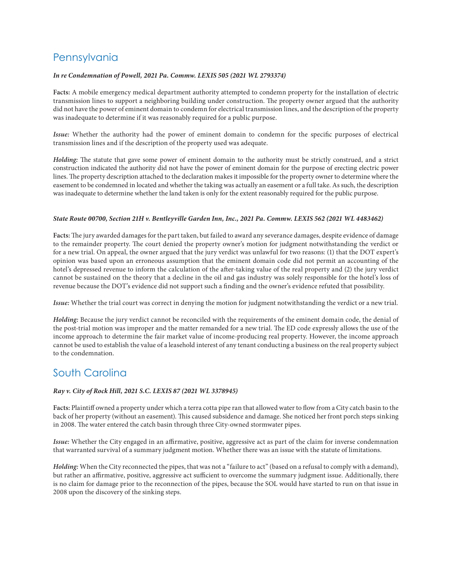# **Pennsylvania**

### *In re Condemnation of Powell, 2021 Pa. Commw. LEXIS 505 (2021 WL 2793374)*

**Facts:** A mobile emergency medical department authority attempted to condemn property for the installation of electric transmission lines to support a neighboring building under construction. The property owner argued that the authority did not have the power of eminent domain to condemn for electrical transmission lines, and the description of the property was inadequate to determine if it was reasonably required for a public purpose.

*Issue:* Whether the authority had the power of eminent domain to condemn for the specific purposes of electrical transmission lines and if the description of the property used was adequate.

*Holding:* The statute that gave some power of eminent domain to the authority must be strictly construed, and a strict construction indicated the authority did not have the power of eminent domain for the purpose of erecting electric power lines. The property description attached to the declaration makes it impossible for the property owner to determine where the easement to be condemned in located and whether the taking was actually an easement or a full take. As such, the description was inadequate to determine whether the land taken is only for the extent reasonably required for the public purpose.

#### *State Route 00700, Section 21H v. Bentleyville Garden Inn, Inc., 2021 Pa. Commw. LEXIS 562 (2021 WL 4483462)*

**Facts:** The jury awarded damages for the part taken, but failed to award any severance damages, despite evidence of damage to the remainder property. The court denied the property owner's motion for judgment notwithstanding the verdict or for a new trial. On appeal, the owner argued that the jury verdict was unlawful for two reasons: (1) that the DOT expert's opinion was based upon an erroneous assumption that the eminent domain code did not permit an accounting of the hotel's depressed revenue to inform the calculation of the after-taking value of the real property and (2) the jury verdict cannot be sustained on the theory that a decline in the oil and gas industry was solely responsible for the hotel's loss of revenue because the DOT's evidence did not support such a finding and the owner's evidence refuted that possibility.

*Issue:* Whether the trial court was correct in denying the motion for judgment notwithstanding the verdict or a new trial.

*Holding:* Because the jury verdict cannot be reconciled with the requirements of the eminent domain code, the denial of the post-trial motion was improper and the matter remanded for a new trial. The ED code expressly allows the use of the income approach to determine the fair market value of income-producing real property. However, the income approach cannot be used to establish the value of a leasehold interest of any tenant conducting a business on the real property subject to the condemnation.

### South Carolina

### *Ray v. City of Rock Hill, 2021 S.C. LEXIS 87 (2021 WL 3378945)*

**Facts:** Plaintiff owned a property under which a terra cotta pipe ran that allowed water to flow from a City catch basin to the back of her property (without an easement). This caused subsidence and damage. She noticed her front porch steps sinking in 2008. The water entered the catch basin through three City-owned stormwater pipes.

*Issue:* Whether the City engaged in an affirmative, positive, aggressive act as part of the claim for inverse condemnation that warranted survival of a summary judgment motion. Whether there was an issue with the statute of limitations.

*Holding:* When the City reconnected the pipes, that was not a "failure to act" (based on a refusal to comply with a demand), but rather an affirmative, positive, aggressive act sufficient to overcome the summary judgment issue. Additionally, there is no claim for damage prior to the reconnection of the pipes, because the SOL would have started to run on that issue in 2008 upon the discovery of the sinking steps.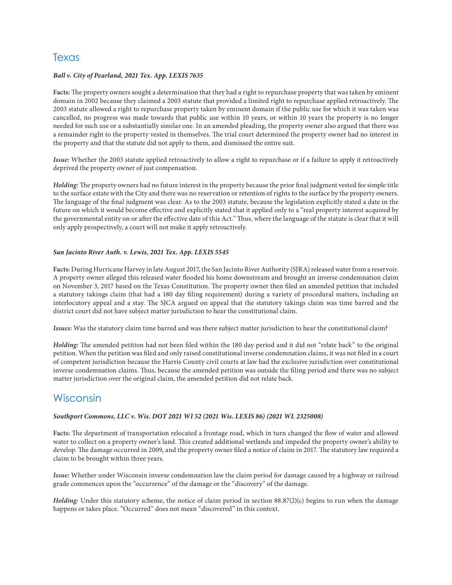### **Texas**

### *Ball v. City of Pearland, 2021 Tex. App. LEXIS 7635*

**Facts:** The property owners sought a determination that they had a right to repurchase property that was taken by eminent domain in 2002 because they claimed a 2003 statute that provided a limited right to repurchase applied retroactively. The 2003 statute allowed a right to repurchase property taken by eminent domain if the public use for which it was taken was cancelled, no progress was made towards that public use within 10 years, or within 10 years the property is no longer needed for such use or a substantially similar one. In an amended pleading, the property owner also argued that there was a remainder right to the property vested in themselves. The trial court determined the property owner had no interest in the property and that the statute did not apply to them, and dismissed the entire suit.

*Issue:* Whether the 2003 statute applied retroactively to allow a right to repurchase or if a failure to apply it retroactively deprived the property owner of just compensation.

*Holding:* The property owners had no future interest in the property because the prior final judgment vested fee simple title to the surface estate with the City and there was no reservation or retention of rights to the surface by the property owners. The language of the final judgment was clear. As to the 2003 statute, because the legislation explicitly stated a date in the future on which it would become effective and explicitly stated that it applied only to a "real property interest acquired by the governmental entity on or after the effective date of this Act." Thus, where the language of the statute is clear that it will only apply prospectively, a court will not make it apply retroactively.

### *San Jacinto River Auth. v. Lewis, 2021 Tex. App. LEXIS 5545*

**Facts:** During Hurricane Harvey in late August 2017, the San Jacinto River Authority (SJRA) released water from a reservoir. A property owner alleged this released water flooded his home downstream and brought an inverse condemnation claim on November 3, 2017 based on the Texas Constitution. The property owner then filed an amended petition that included a statutory takings claim (that had a 180 day filing requirement) during a variety of procedural matters, including an interlocutory appeal and a stay. The SJCA argued on appeal that the statutory takings claim was time barred and the district court did not have subject matter jurisdiction to hear the constitutional claim.

*Issues:* Was the statutory claim time barred and was there subject matter jurisdiction to hear the constitutional claim?

*Holding:* The amended petition had not been filed within the 180 day period and it did not "relate back" to the original petition. When the petition was filed and only raised constitutional inverse condemnation claims, it was not filed in a court of competent jurisdiction because the Harris County civil courts at law had the exclusive jurisdiction over constitutional inverse condemnation claims. Thus, because the amended petition was outside the filing period and there was no subject matter jurisdiction over the original claim, the amended petition did not relate back.

### **Wisconsin**

#### *Southport Commons, LLC v. Wis. DOT 2021 WI 52 (2021 Wis. LEXIS 86) (2021 WL 2325008)*

**Facts:** The department of transportation relocated a frontage road, which in turn changed the flow of water and allowed water to collect on a property owner's land. This created additional wetlands and impeded the property owner's ability to develop. The damage occurred in 2009, and the property owner filed a notice of claim in 2017. The statutory law required a claim to be brought within three years.

*Issue:* Whether under Wisconsin inverse condemnation law the claim period for damage caused by a highway or railroad grade commences upon the "occurrence" of the damage or the "discovery" of the damage.

*Holding*: Under this statutory scheme, the notice of claim period in section 88.87(2)(c) begins to run when the damage happens or takes place. "Occurred" does not mean "discovered" in this context.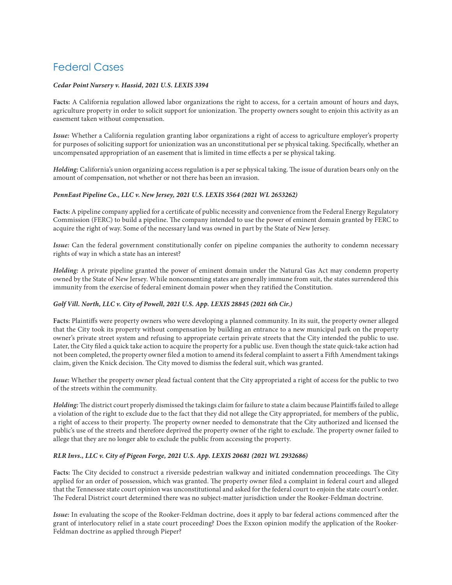# Federal Cases

### *Cedar Point Nursery v. Hassid, 2021 U.S. LEXIS 3394*

**Facts:** A California regulation allowed labor organizations the right to access, for a certain amount of hours and days, agriculture property in order to solicit support for unionization. The property owners sought to enjoin this activity as an easement taken without compensation.

*Issue:* Whether a California regulation granting labor organizations a right of access to agriculture employer's property for purposes of soliciting support for unionization was an unconstitutional per se physical taking. Specifically, whether an uncompensated appropriation of an easement that is limited in time effects a per se physical taking.

*Holding:* California's union organizing access regulation is a per se physical taking. The issue of duration bears only on the amount of compensation, not whether or not there has been an invasion.

### *PennEast Pipeline Co., LLC v. New Jersey, 2021 U.S. LEXIS 3564 (2021 WL 2653262)*

**Facts:** A pipeline company applied for a certificate of public necessity and convenience from the Federal Energy Regulatory Commission (FERC) to build a pipeline. The company intended to use the power of eminent domain granted by FERC to acquire the right of way. Some of the necessary land was owned in part by the State of New Jersey.

*Issue:* Can the federal government constitutionally confer on pipeline companies the authority to condemn necessary rights of way in which a state has an interest?

*Holding:* A private pipeline granted the power of eminent domain under the Natural Gas Act may condemn property owned by the State of New Jersey. While nonconsenting states are generally immune from suit, the states surrendered this immunity from the exercise of federal eminent domain power when they ratified the Constitution.

### *Golf Vill. North, LLC v. City of Powell, 2021 U.S. App. LEXIS 28845 (2021 6th Cir.)*

**Facts:** Plaintiffs were property owners who were developing a planned community. In its suit, the property owner alleged that the City took its property without compensation by building an entrance to a new municipal park on the property owner's private street system and refusing to appropriate certain private streets that the City intended the public to use. Later, the City filed a quick take action to acquire the property for a public use. Even though the state quick-take action had not been completed, the property owner filed a motion to amend its federal complaint to assert a Fifth Amendment takings claim, given the Knick decision. The City moved to dismiss the federal suit, which was granted.

*Issue:* Whether the property owner plead factual content that the City appropriated a right of access for the public to two of the streets within the community.

*Holding:* The district court properly dismissed the takings claim for failure to state a claim because Plaintiffs failed to allege a violation of the right to exclude due to the fact that they did not allege the City appropriated, for members of the public, a right of access to their property. The property owner needed to demonstrate that the City authorized and licensed the public's use of the streets and therefore deprived the property owner of the right to exclude. The property owner failed to allege that they are no longer able to exclude the public from accessing the property.

#### *RLR Invs., LLC v. City of Pigeon Forge, 2021 U.S. App. LEXIS 20681 (2021 WL 2932686)*

**Facts:** The City decided to construct a riverside pedestrian walkway and initiated condemnation proceedings. The City applied for an order of possession, which was granted. The property owner filed a complaint in federal court and alleged that the Tennessee state court opinion was unconstitutional and asked for the federal court to enjoin the state court's order. The Federal District court determined there was no subject-matter jurisdiction under the Rooker-Feldman doctrine.

*Issue:* In evaluating the scope of the Rooker-Feldman doctrine, does it apply to bar federal actions commenced after the grant of interlocutory relief in a state court proceeding? Does the Exxon opinion modify the application of the Rooker-Feldman doctrine as applied through Pieper?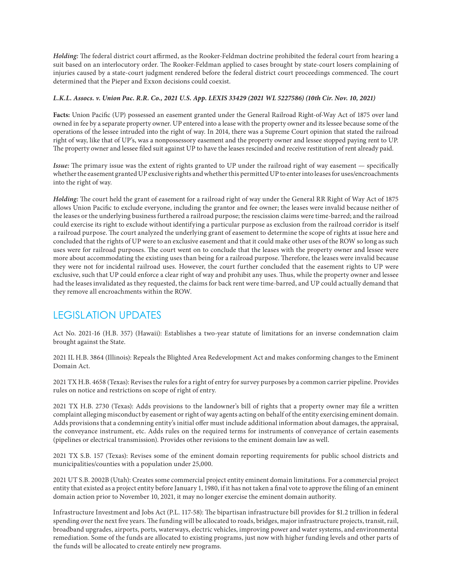*Holding:* The federal district court affirmed, as the Rooker-Feldman doctrine prohibited the federal court from hearing a suit based on an interlocutory order. The Rooker-Feldman applied to cases brought by state-court losers complaining of injuries caused by a state-court judgment rendered before the federal district court proceedings commenced. The court determined that the Pieper and Exxon decisions could coexist.

### *L.K.L. Assocs. v. Union Pac. R.R. Co., 2021 U.S. App. LEXIS 33429 (2021 WL 5227586) (10th Cir. Nov. 10, 2021)*

**Facts:** Union Pacific (UP) possessed an easement granted under the General Railroad Right-of-Way Act of 1875 over land owned in fee by a separate property owner. UP entered into a lease with the property owner and its lessee because some of the operations of the lessee intruded into the right of way. In 2014, there was a Supreme Court opinion that stated the railroad right of way, like that of UP's, was a nonpossessory easement and the property owner and lessee stopped paying rent to UP. The property owner and lessee filed suit against UP to have the leases rescinded and receive restitution of rent already paid.

*Issue:* The primary issue was the extent of rights granted to UP under the railroad right of way easement — specifically whether the easement granted UP exclusive rights and whether this permitted UP to enter into leases for uses/encroachments into the right of way.

*Holding:* The court held the grant of easement for a railroad right of way under the General RR Right of Way Act of 1875 allows Union Pacific to exclude everyone, including the grantor and fee owner; the leases were invalid because neither of the leases or the underlying business furthered a railroad purpose; the rescission claims were time-barred; and the railroad could exercise its right to exclude without identifying a particular purpose as exclusion from the railroad corridor is itself a railroad purpose. The court analyzed the underlying grant of easement to determine the scope of rights at issue here and concluded that the rights of UP were to an exclusive easement and that it could make other uses of the ROW so long as such uses were for railroad purposes. The court went on to conclude that the leases with the property owner and lessee were more about accommodating the existing uses than being for a railroad purpose. Therefore, the leases were invalid because they were not for incidental railroad uses. However, the court further concluded that the easement rights to UP were exclusive, such that UP could enforce a clear right of way and prohibit any uses. Thus, while the property owner and lessee had the leases invalidated as they requested, the claims for back rent were time-barred, and UP could actually demand that they remove all encroachments within the ROW.

# LEGISLATION UPDATES

Act No. 2021-16 (H.B. 357) (Hawaii): Establishes a two-year statute of limitations for an inverse condemnation claim brought against the State.

2021 IL H.B. 3864 (Illinois): Repeals the Blighted Area Redevelopment Act and makes conforming changes to the Eminent Domain Act.

2021 TX H.B. 4658 (Texas): Revises the rules for a right of entry for survey purposes by a common carrier pipeline. Provides rules on notice and restrictions on scope of right of entry.

2021 TX H.B. 2730 (Texas): Adds provisions to the landowner's bill of rights that a property owner may file a written complaint alleging misconduct by easement or right of way agents acting on behalf of the entity exercising eminent domain. Adds provisions that a condemning entity's initial offer must include additional information about damages, the appraisal, the conveyance instrument, etc. Adds rules on the required terms for instruments of conveyance of certain easements (pipelines or electrical transmission). Provides other revisions to the eminent domain law as well.

2021 TX S.B. 157 (Texas): Revises some of the eminent domain reporting requirements for public school districts and municipalities/counties with a population under 25,000.

2021 UT S.B. 2002B (Utah): Creates some commercial project entity eminent domain limitations. For a commercial project entity that existed as a project entity before January 1, 1980, if it has not taken a final vote to approve the filing of an eminent domain action prior to November 10, 2021, it may no longer exercise the eminent domain authority.

Infrastructure Investment and Jobs Act (P.L. 117-58): The bipartisan infrastructure bill provides for \$1.2 trillion in federal spending over the next five years. The funding will be allocated to roads, bridges, major infrastructure projects, transit, rail, broadband upgrades, airports, ports, waterways, electric vehicles, improving power and water systems, and environmental remediation. Some of the funds are allocated to existing programs, just now with higher funding levels and other parts of the funds will be allocated to create entirely new programs.